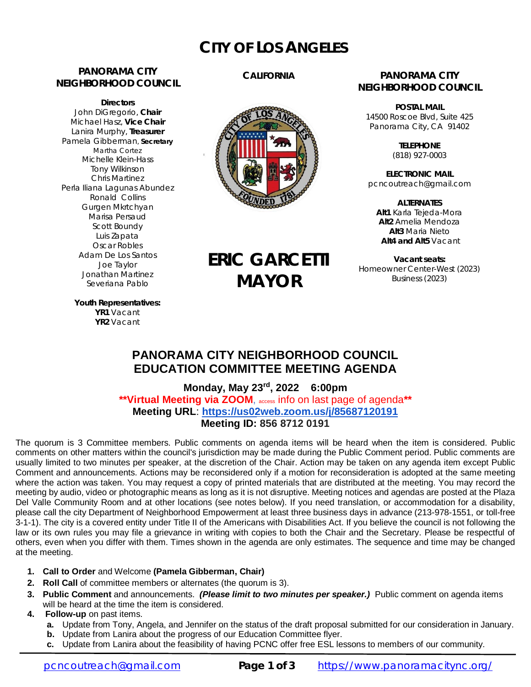# **CITY OF LOS ANGELES**

# **PANORAMA CITY NEIGHBORHOOD COUNCIL**

**Directors** John DiGregorio, **Chair** Michael Hasz, **Vice Chair** Lanira Murphy, **Treasurer** Pamela Gibberman, **Secretary** Martha Cortez Michelle Klein-Hass Tony Wilkinson Chris Martinez Perla Iliana Lagunas Abundez Ronald Collins Gurgen Mkrtchyan Marisa Persaud Scott Boundy Luis Zapata Oscar Robles Adam De Los Santos Joe Taylor Jonathan Martinez Severiana Pablo

# **CALIFORNIA**



**ERIC GARCETTI**

**MAYOR**

### **PANORAMA CITY NEIGHBORHOOD COUNCIL**

**POSTAL MAIL** 14500 Roscoe Blvd, Suite 425 Panorama City, CA 91402

> **TELEPHONE** (818) 927-0003

**ELECTRONIC MAIL** [pcncoutreach@gmail.com](mailto:pcncoutreach@gmail.com)

**ALTERNATES Alt1** Karla Tejeda-Mora **Alt2** Amelia Mendoza **Alt3** Maria Nieto **Alt4 and Alt5** Vacant

**Vacant seats:** Homeowner Center-West (2023) Business (2023)

**Youth Representatives: YR1** Vacant **YR2** Vacant

# **PANORAMA CITY NEIGHBORHOOD COUNCIL EDUCATION COMMITTEE MEETING AGENDA**

**Monday, May 23 rd, 2022 6:00pm \*\*Virtual Meeting via ZOOM**, access info on last page of agenda**\*\* Meeting URL**: **<https://us02web.zoom.us/j/85687120191> Meeting ID: 856 8712 0191**

The quorum is 3 Committee members. Public comments on agenda items will be heard when the item is considered. Public comments on other matters within the council's jurisdiction may be made during the Public Comment period. Public comments are usually limited to two minutes per speaker, at the discretion of the Chair. Action may be taken on any agenda item except Public Comment and announcements. Actions may be reconsidered only if a motion for reconsideration is adopted at the same meeting where the action was taken. You may request a copy of printed materials that are distributed at the meeting. You may record the meeting by audio, video or photographic means as long as it is not disruptive. Meeting notices and agendas are posted at the Plaza Del Valle Community Room and at other locations (see notes below). If you need translation, or accommodation for a disability, please call the city Department of Neighborhood Empowerment at least three business days in advance (213-978-1551, or toll-free 3-1-1). The city is a covered entity under Title II of the Americans with Disabilities Act. If you believe the council is not following the law or its own rules you may file a grievance in writing with copies to both the Chair and the Secretary. Please be respectful of others, even when you differ with them. Times shown in the agenda are only estimates. The sequence and time may be changed at the meeting.

- **1. Call to Order** and Welcome **(Pamela Gibberman, Chair)**
- **2. Roll Call** of committee members or alternates (the quorum is 3).
- **3. Public Comment** and announcements. *(Please limit to two minutes per speaker.)* Public comment on agenda items will be heard at the time the item is considered.
- **4. Follow-up** on past items.
	- **a.** Update from Tony, Angela, and Jennifer on the status of the draft proposal submitted for our consideration in January.
	- **b.** Update from Lanira about the progress of our Education Committee flyer.
	- **c.** Update from Lanira about the feasibility of having PCNC offer free ESL lessons to members of our community.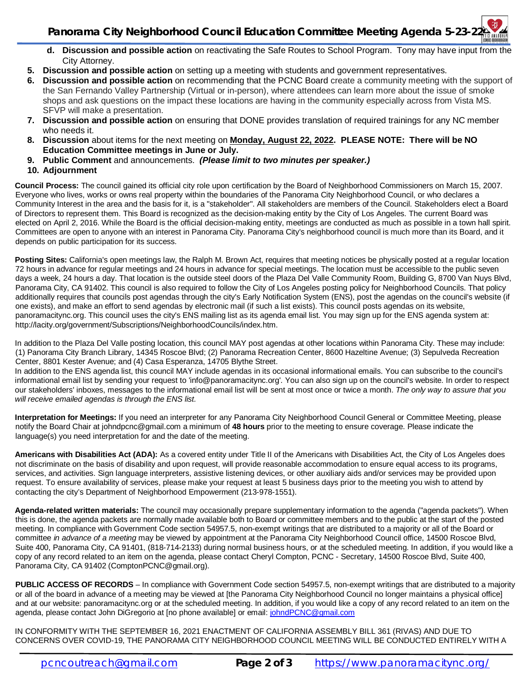- **d. Discussion and possible action** on reactivating the Safe Routes to School Program. Tony may have input from the City Attorney.
- **5. Discussion and possible action** on setting up a meeting with students and government representatives.
- **6. Discussion and possible action** on recommending that the PCNC Board create a community meeting with the support of the San Fernando Valley Partnership (Virtual or in-person), where attendees can learn more about the issue of smoke shops and ask questions on the impact these locations are having in the community especially across from Vista MS. SFVP will make a presentation.
- **7. Discussion and possible action** on ensuring that DONE provides translation of required trainings for any NC member who needs it.
- **8. Discussion** about items for the next meeting on **Monday, August 22, 2022. PLEASE NOTE: There will be NO Education Committee meetings in June or July.**
- **9. Public Comment** and announcements. *(Please limit to two minutes per speaker.)*
- **10. Adjournment**

**Council Process:** The council gained its official city role upon certification by the Board of Neighborhood Commissioners on March 15, 2007. Everyone who lives, works or owns real property within the boundaries of the Panorama City Neighborhood Council, or who declares a Community Interest in the area and the basis for it, is a "stakeholder". All stakeholders are members of the Council. Stakeholders elect a Board of Directors to represent them. This Board is recognized as the decision-making entity by the City of Los Angeles. The current Board was elected on April 2, 2016. While the Board is the official decision-making entity, meetings are conducted as much as possible in a town hall spirit. Committees are open to anyone with an interest in Panorama City. Panorama City's neighborhood council is much more than its Board, and it depends on public participation for its success.

**Posting Sites:** California's open meetings law, the Ralph M. Brown Act, requires that meeting notices be physically posted at a regular location 72 hours in advance for regular meetings and 24 hours in advance for special meetings. The location must be accessible to the public seven days a week, 24 hours a day. That location is the outside steel doors of the Plaza Del Valle Community Room, Building G, 8700 Van Nuys Blvd, Panorama City, CA 91402. This council is also required to follow the City of Los Angeles posting policy for Neighborhood Councils. That policy additionally requires that councils post agendas through the city's Early Notification System (ENS), post the agendas on the council's website (if one exists), and make an effort to send agendas by electronic mail (if such a list exists). This council posts agendas on its website, panoramacitync.org. This council uses the city's ENS mailing list as its agenda email list. You may sign up for the ENS agenda system at: <http://lacity.org/government/Subscriptions/NeighborhoodCouncils/index.htm.>

In addition to the Plaza Del Valle posting location, this council MAY post agendas at other locations within Panorama City. These may include: (1) Panorama City Branch Library, 14345 Roscoe Blvd; (2) Panorama Recreation Center, 8600 Hazeltine Avenue; (3) Sepulveda Recreation Center, 8801 Kester Avenue; and (4) Casa Esperanza, 14705 Blythe Street.

In addition to the ENS agenda list, this council MAY include agendas in its occasional informational emails. You can subscribe to the council's informational email list by sending your request to ['info@panoramacitync.org'.](mailto:) You can also sign up on the council's website. In order to respect our stakeholders' inboxes, messages to the informational email list will be sent at most once or twice a month. *The only way to assure that you will receive emailed agendas is through the ENS list.* 

**Interpretation for Meetings:** If you need an interpreter for any Panorama City Neighborhood Council General or Committee Meeting, please notify the Board Chair at [johndpcnc@gmail.com](mailto:johndpcnc@gmail.com) a minimum of **48 hours** prior to the meeting to ensure coverage. Please indicate the language(s) you need interpretation for and the date of the meeting.

**Americans with Disabilities Act (ADA):** As a covered entity under Title II of the Americans with Disabilities Act, the City of Los Angeles does not discriminate on the basis of disability and upon request, will provide reasonable accommodation to ensure equal access to its programs, services, and activities. Sign language interpreters, assistive listening devices, or other auxiliary aids and/or services may be provided upon request. To ensure availability of services, please make your request at least 5 business days prior to the meeting you wish to attend by contacting the city's Department of Neighborhood Empowerment (213-978-1551).

**Agenda-related written materials:** The council may occasionally prepare supplementary information to the agenda ("agenda packets"). When this is done, the agenda packets are normally made available both to Board or committee members and to the public at the start of the posted meeting. In compliance with Government Code section 54957.5, non-exempt writings that are distributed to a majority or all of the Board or committee *in advance of a meeting* may be viewed by appointment at the Panorama City Neighborhood Council office, 14500 Roscoe Blvd, Suite 400, Panorama City, CA 91401, (818-714-2133) during normal business hours, or at the scheduled meeting. In addition, if you would like a copy of any record related to an item on the agenda, please contact Cheryl Compton, PCNC - Secretary, 14500 Roscoe Blvd, Suite 400, Panorama City, CA 91402 [\(ComptonPCNC@gmail.org\).](mailto:(ComptonPCNC@gmail.org).) 

**PUBLIC ACCESS OF RECORDS** – In compliance with Government Code section 54957.5, non-exempt writings that are distributed to a majority or all of the board in advance of a meeting may be viewed at [the Panorama City Neighborhood Council no longer maintains a physical office] and at our website: panoramacitync.org or at the scheduled meeting. In addition, if you would like a copy of any record related to an item on the agenda, please contact John DiGregorio at [no phone available] or email: [johndPCNC@gmail.com](mailto:johndPCNC@gmail.com)

IN CONFORMITY WITH THE SEPTEMBER 16, 2021 ENACTMENT OF CALIFORNIA ASSEMBLY BILL 361 (RIVAS) AND DUE TO CONCERNS OVER COVID-19, THE PANORAMA CITY NEIGHBORHOOD COUNCIL MEETING WILL BE CONDUCTED ENTIRELY WITH A